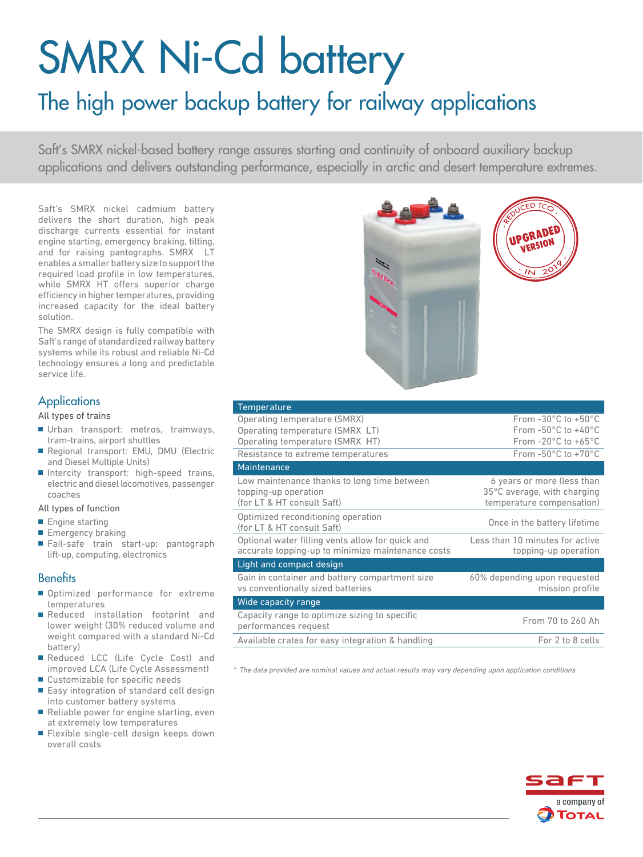# SMRX Ni-Cd battery

# The high power backup battery for railway applications

Saft's SMRX nickel-based battery range assures starting and continuity of onboard auxiliary backup applications and delivers outstanding performance, especially in arctic and desert temperature extremes.

Saft's SMRX nickel cadmium battery delivers the short duration, high peak discharge currents essential for instant engine starting, emergency braking, tilting, and for raising pantographs. SMRX LT enables a smaller battery size to support the required load profile in low temperatures, while SMRX HT offers superior charge efficiency in higher temperatures, providing increased capacity for the ideal battery solution.

The SMRX design is fully compatible with Saft's range of standardized railway battery systems while its robust and reliable Ni-Cd technology ensures a long and predictable service life.

## **Applications**

#### All types of trains

- Urban transport: metros, tramways, tram-trains, airport shuttles
- Regional transport: EMU, DMU (Electric and Diesel Multiple Units)
- Intercity transport: high-speed trains, electric and diesel locomotives, passenger coaches

#### All types of function

- Engine starting
- Emergency braking
- Fail-safe train start-up: pantograph lift-up, computing, electronics

# **Benefits**

- Optimized performance for extreme temperatures
- Reduced installation footprint and lower weight (30% reduced volume and weight compared with a standard Ni-Cd battery)
- Reduced LCC (Life Cycle Cost) and improved LCA (Life Cycle Assessment)
- Customizable for specific needs
- Easy integration of standard cell design into customer battery systems
- Reliable power for engine starting, even at extremely low temperatures
- Flexible single-cell design keeps down overall costs



| Temperature                                       |                                         |
|---------------------------------------------------|-----------------------------------------|
| Operating temperature (SMRX)                      | From $-30^{\circ}$ C to $+50^{\circ}$ C |
| Operating temperature (SMRX LT)                   | From $-50^{\circ}$ C to $+40^{\circ}$ C |
| Operating temperature (SMRX HT)                   | From $-20^{\circ}$ C to $+65^{\circ}$ C |
| Resistance to extreme temperatures                | From $-50^{\circ}$ C to $+70^{\circ}$ C |
| Maintenance                                       |                                         |
| Low maintenance thanks to long time between       | 6 years or more (less than              |
| topping-up operation                              | 35°C average, with charging             |
| (for LT & HT consult Saft)                        | temperature compensation)               |
| Optimized reconditioning operation                | Once in the battery lifetime            |
| (for LT & HT consult Saft)                        |                                         |
| Optional water filling vents allow for quick and  | Less than 10 minutes for active         |
| accurate topping-up to minimize maintenance costs | topping-up operation                    |
| Light and compact design                          |                                         |
| Gain in container and battery compartment size    | 60% depending upon requested            |
| vs conventionally sized batteries                 | mission profile                         |
| Wide capacity range                               |                                         |
| Capacity range to optimize sizing to specific     | From 70 to 260 Ah                       |
| performances request                              |                                         |
| Available crates for easy integration & handling  | For 2 to 8 cells                        |

\* The data provided are nominal values and actual results may vary depending upon application conditions.